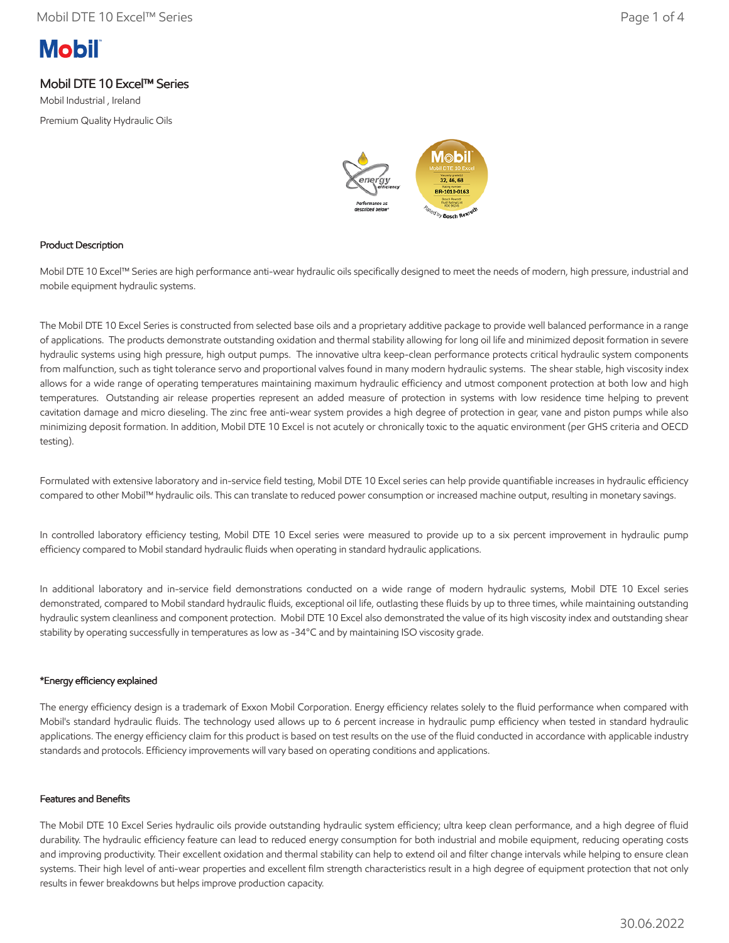# **Mobil**

### Mobil DTE 10 Excel™ Series

Mobil Industrial , Ireland Premium Quality Hydraulic Oils



#### Product Description

Mobil DTE 10 Excel™ Series are high performance anti-wear hydraulic oils specifically designed to meet the needs of modern, high pressure, industrial and mobile equipment hydraulic systems.

The Mobil DTE 10 Excel Series is constructed from selected base oils and a proprietary additive package to provide well balanced performance in a range of applications. The products demonstrate outstanding oxidation and thermal stability allowing for long oil life and minimized deposit formation in severe hydraulic systems using high pressure, high output pumps. The innovative ultra keep-clean performance protects critical hydraulic system components from malfunction, such as tight tolerance servo and proportional valves found in many modern hydraulic systems. The shear stable, high viscosity index allows for a wide range of operating temperatures maintaining maximum hydraulic efficiency and utmost component protection at both low and high temperatures. Outstanding air release properties represent an added measure of protection in systems with low residence time helping to prevent cavitation damage and micro dieseling. The zinc free anti-wear system provides a high degree of protection in gear, vane and piston pumps while also minimizing deposit formation. In addition, Mobil DTE 10 Excel is not acutely or chronically toxic to the aquatic environment (per GHS criteria and OECD testing).

Formulated with extensive laboratory and in-service field testing, Mobil DTE 10 Excel series can help provide quantifiable increases in hydraulic efficiency compared to other Mobil™ hydraulic oils. This can translate to reduced power consumption or increased machine output, resulting in monetary savings.

In controlled laboratory efficiency testing, Mobil DTE 10 Excel series were measured to provide up to a six percent improvement in hydraulic pump efficiency compared to Mobil standard hydraulic fluids when operating in standard hydraulic applications.

In additional laboratory and in-service field demonstrations conducted on a wide range of modern hydraulic systems, Mobil DTE 10 Excel series demonstrated, compared to Mobil standard hydraulic fluids, exceptional oil life, outlasting these fluids by up to three times, while maintaining outstanding hydraulic system cleanliness and component protection. Mobil DTE 10 Excel also demonstrated the value of its high viscosity index and outstanding shear stability by operating successfully in temperatures as low as -34°C and by maintaining ISO viscosity grade.

#### \*Energy efficiency explained

The energy efficiency design is a trademark of Exxon Mobil Corporation. Energy efficiency relates solely to the fluid performance when compared with Mobil's standard hydraulic fluids. The technology used allows up to 6 percent increase in hydraulic pump efficiency when tested in standard hydraulic applications. The energy efficiency claim for this product is based on test results on the use of the fluid conducted in accordance with applicable industry standards and protocols. Efficiency improvements will vary based on operating conditions and applications.

#### Features and Benefits

The Mobil DTE 10 Excel Series hydraulic oils provide outstanding hydraulic system efficiency; ultra keep clean performance, and a high degree of fluid durability. The hydraulic efficiency feature can lead to reduced energy consumption for both industrial and mobile equipment, reducing operating costs and improving productivity. Their excellent oxidation and thermal stability can help to extend oil and filter change intervals while helping to ensure clean systems. Their high level of anti-wear properties and excellent film strength characteristics result in a high degree of equipment protection that not only results in fewer breakdowns but helps improve production capacity.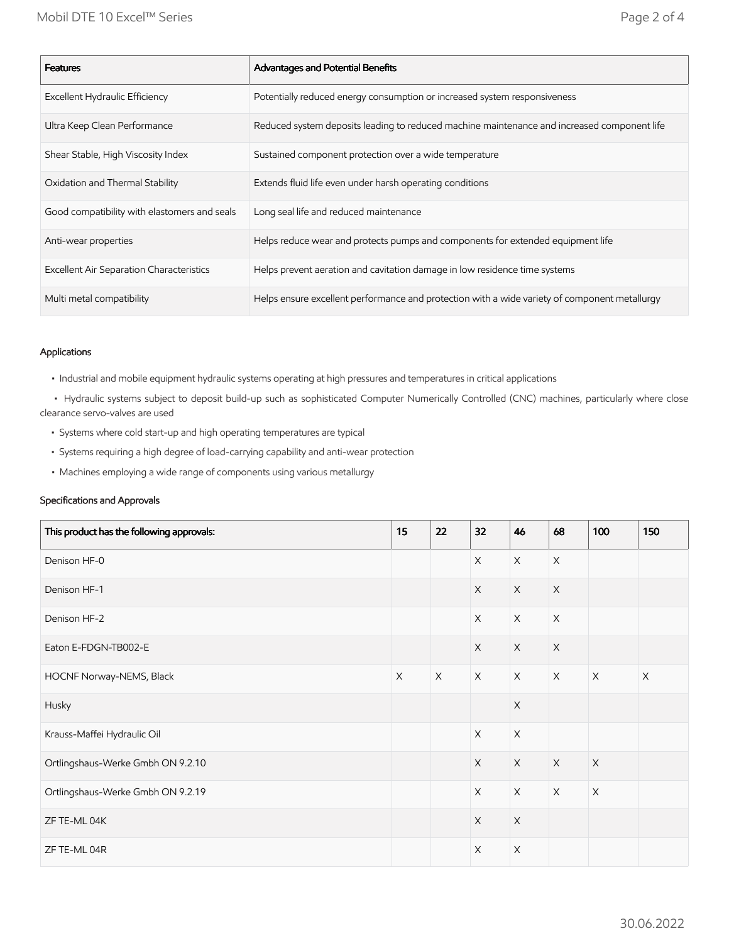| <b>Features</b>                                 | Advantages and Potential Benefits                                                             |
|-------------------------------------------------|-----------------------------------------------------------------------------------------------|
| Excellent Hydraulic Efficiency                  | Potentially reduced energy consumption or increased system responsiveness                     |
| Ultra Keep Clean Performance                    | Reduced system deposits leading to reduced machine maintenance and increased component life   |
| Shear Stable, High Viscosity Index              | Sustained component protection over a wide temperature                                        |
| Oxidation and Thermal Stability                 | Extends fluid life even under harsh operating conditions                                      |
| Good compatibility with elastomers and seals    | Long seal life and reduced maintenance                                                        |
| Anti-wear properties                            | Helps reduce wear and protects pumps and components for extended equipment life               |
| <b>Excellent Air Separation Characteristics</b> | Helps prevent aeration and cavitation damage in low residence time systems                    |
| Multi metal compatibility                       | Helps ensure excellent performance and protection with a wide variety of component metallurgy |

#### Applications

• Industrial and mobile equipment hydraulic systems operating at high pressures and temperatures in critical applications

 • Hydraulic systems subject to deposit build-up such as sophisticated Computer Numerically Controlled (CNC) machines, particularly where close clearance servo-valves are used

- Systems where cold start-up and high operating temperatures are typical
- Systems requiring a high degree of load-carrying capability and anti-wear protection
- Machines employing a wide range of components using various metallurgy

#### Specifications and Approvals

| This product has the following approvals: | 15          | 22       | 32                        | 46          | 68                        | 100         | 150         |
|-------------------------------------------|-------------|----------|---------------------------|-------------|---------------------------|-------------|-------------|
| Denison HF-0                              |             |          | $\mathsf X$               | $\mathsf X$ | $\mathsf X$               |             |             |
| Denison HF-1                              |             |          | $\mathsf X$               | $\mathsf X$ | $\mathsf X$               |             |             |
| Denison HF-2                              |             |          | $\boldsymbol{\mathsf{X}}$ | $\mathsf X$ | $\boldsymbol{\mathsf{X}}$ |             |             |
| Eaton E-FDGN-TB002-E                      |             |          | $\times$                  | $\times$    | $\mathsf X$               |             |             |
| HOCNF Norway-NEMS, Black                  | $\mathsf X$ | $\times$ | $\mathsf X$               | $\times$    | $\mathsf X$               | $\mathsf X$ | $\mathsf X$ |
| Husky                                     |             |          |                           | $\mathsf X$ |                           |             |             |
| Krauss-Maffei Hydraulic Oil               |             |          | $\mathsf X$               | $\mathsf X$ |                           |             |             |
| Ortlingshaus-Werke Gmbh ON 9.2.10         |             |          | $\mathsf X$               | $\mathsf X$ | $\mathsf X$               | $\mathsf X$ |             |
| Ortlingshaus-Werke Gmbh ON 9.2.19         |             |          | $\mathsf X$               | $\times$    | $\mathsf X$               | $\mathsf X$ |             |
| ZF TE-ML 04K                              |             |          | $\mathsf X$               | $\mathsf X$ |                           |             |             |
| ZF TE-ML 04R                              |             |          | $\boldsymbol{\times}$     | $\mathsf X$ |                           |             |             |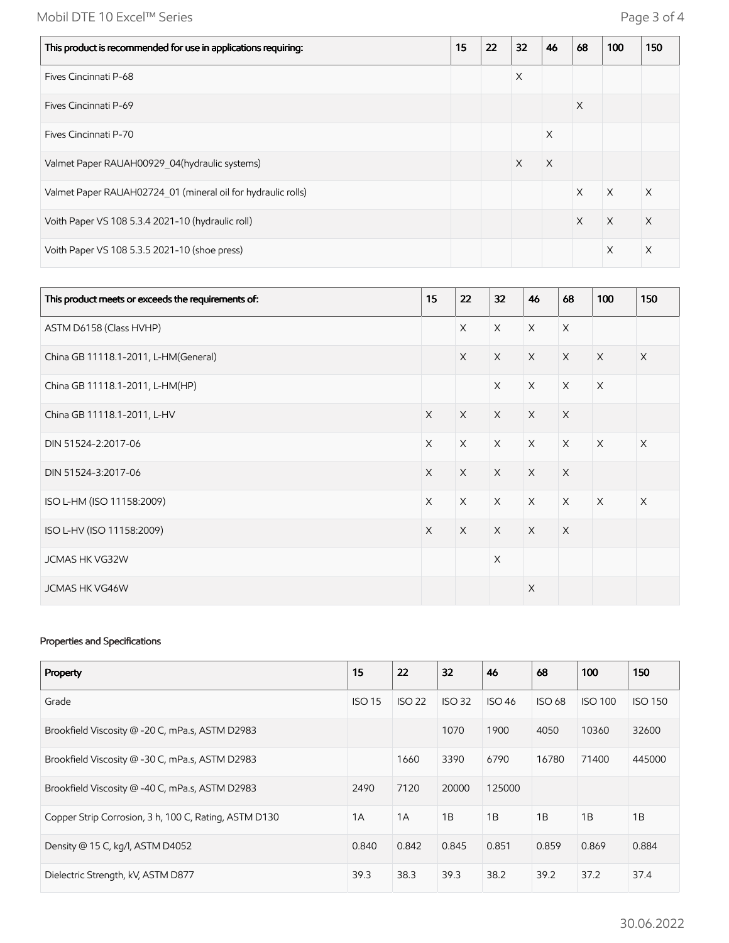## Mobil DTE 10 Excel™ Series **Page 3 of 4**

| This product is recommended for use in applications requiring: | 15 | 22 | 32       | 46       | 68       | 100      | 150 |
|----------------------------------------------------------------|----|----|----------|----------|----------|----------|-----|
| Fives Cincinnati P-68                                          |    |    | $\times$ |          |          |          |     |
| Fives Cincinnati P-69                                          |    |    |          |          | X        |          |     |
| Fives Cincinnati P-70                                          |    |    |          | X        |          |          |     |
| Valmet Paper RAUAH00929 04(hydraulic systems)                  |    |    | X        | $\times$ |          |          |     |
| Valmet Paper RAUAH02724 01 (mineral oil for hydraulic rolls)   |    |    |          |          | $\times$ | $\times$ | X   |
| Voith Paper VS 108 5.3.4 2021-10 (hydraulic roll)              |    |    |          |          | $\times$ | $\times$ | X   |
| Voith Paper VS 108 5.3.5 2021-10 (shoe press)                  |    |    |          |          |          | X        | X   |

| This product meets or exceeds the requirements of: | 15       | 22       | 32       | 46       | 68       | 100         | 150      |
|----------------------------------------------------|----------|----------|----------|----------|----------|-------------|----------|
| ASTM D6158 (Class HVHP)                            |          | $\times$ | $\times$ | $\times$ | $\times$ |             |          |
| China GB 11118.1-2011, L-HM(General)               |          | $\times$ | $\times$ | $\times$ | $\times$ | $\times$    | $\times$ |
| China GB 11118.1-2011, L-HM(HP)                    |          |          | $\times$ | $\times$ | $\times$ | $\times$    |          |
| China GB 11118.1-2011, L-HV                        | $\times$ | $\times$ | $\times$ | $\times$ | $\times$ |             |          |
| DIN 51524-2:2017-06                                | $\times$ | $\times$ | $\times$ | $\times$ | $\times$ | $\times$    | $\times$ |
| DIN 51524-3:2017-06                                | $\times$ | $\times$ | $\times$ | $\times$ | $\times$ |             |          |
| ISO L-HM (ISO 11158:2009)                          | $\times$ | $\times$ | $\times$ | $\times$ | $\times$ | $\mathsf X$ | $\times$ |
| ISO L-HV (ISO 11158:2009)                          | $\times$ | $\times$ | $\times$ | $\times$ | $\times$ |             |          |
| JCMAS HK VG32W                                     |          |          | $\times$ |          |          |             |          |
| <b>JCMAS HK VG46W</b>                              |          |          |          | $\times$ |          |             |          |

#### Properties and Specifications

| Property                                              | 15            | 22            | 32            | 46            | 68            | 100            | 150            |
|-------------------------------------------------------|---------------|---------------|---------------|---------------|---------------|----------------|----------------|
| Grade                                                 | <b>ISO 15</b> | <b>ISO 22</b> | <b>ISO 32</b> | <b>ISO 46</b> | <b>ISO 68</b> | <b>ISO 100</b> | <b>ISO 150</b> |
| Brookfield Viscosity @ -20 C, mPa.s, ASTM D2983       |               |               | 1070          | 1900          | 4050          | 10360          | 32600          |
| Brookfield Viscosity @ -30 C, mPa.s, ASTM D2983       |               | 1660          | 3390          | 6790          | 16780         | 71400          | 445000         |
| Brookfield Viscosity @ -40 C, mPa.s, ASTM D2983       | 2490          | 7120          | 20000         | 125000        |               |                |                |
| Copper Strip Corrosion, 3 h, 100 C, Rating, ASTM D130 | 1A            | 1A            | 1B            | 1B            | 1B            | 1B             | 1B             |
| Density @ 15 C, kg/l, ASTM D4052                      | 0.840         | 0.842         | 0.845         | 0.851         | 0.859         | 0.869          | 0.884          |
| Dielectric Strength, kV, ASTM D877                    | 39.3          | 38.3          | 39.3          | 38.2          | 39.2          | 37.2           | 37.4           |